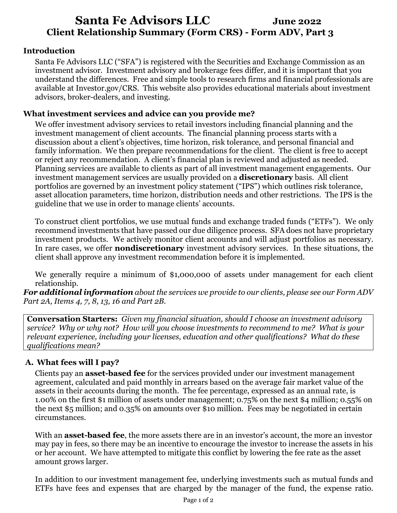# **Santa Fe Advisors LLC June 2022 Client Relationship Summary (Form CRS) - Form ADV, Part 3**

## **Introduction**

Santa Fe Advisors LLC ("SFA") is registered with the Securities and Exchange Commission as an investment advisor. Investment advisory and brokerage fees differ, and it is important that you understand the differences. Free and simple tools to research firms and financial professionals are available at Investor.gov/CRS. This website also provides educational materials about investment advisors, broker-dealers, and investing.

## **What investment services and advice can you provide me?**

We offer investment advisory services to retail investors including financial planning and the investment management of client accounts. The financial planning process starts with a discussion about a client's objectives, time horizon, risk tolerance, and personal financial and family information. We then prepare recommendations for the client. The client is free to accept or reject any recommendation. A client's financial plan is reviewed and adjusted as needed. Planning services are available to clients as part of all investment management engagements. Our investment management services are usually provided on a **discretionary** basis. All client portfolios are governed by an investment policy statement ("IPS") which outlines risk tolerance, asset allocation parameters, time horizon, distribution needs and other restrictions. The IPS is the guideline that we use in order to manage clients' accounts.

To construct client portfolios, we use mutual funds and exchange traded funds ("ETFs"). We only recommend investments that have passed our due diligence process. SFA does not have proprietary investment products. We actively monitor client accounts and will adjust portfolios as necessary. In rare cases, we offer **nondiscretionary** investment advisory services. In these situations, the client shall approve any investment recommendation before it is implemented.

We generally require a minimum of \$1,000,000 of assets under management for each client relationship.

*For additional information about the services we provide to our clients, please see our Form ADV Part 2A, Items 4, 7, 8, 13, 16 and Part 2B.*

**Conversation Starters:** *Given my financial situation, should I choose an investment advisory service? Why or why not? How will you choose investments to recommend to me? What is your relevant experience, including your licenses, education and other qualifications? What do these qualifications mean?*

## **A. What fees will I pay?**

Clients pay an **asset-based fee** for the services provided under our investment management agreement, calculated and paid monthly in arrears based on the average fair market value of the assets in their accounts during the month. The fee percentage, expressed as an annual rate, is 1.00% on the first \$1 million of assets under management; 0.75% on the next \$4 million; 0.55% on the next \$5 million; and 0.35% on amounts over \$10 million. Fees may be negotiated in certain circumstances.

With an **asset-based fee**, the more assets there are in an investor's account, the more an investor may pay in fees, so there may be an incentive to encourage the investor to increase the assets in his or her account. We have attempted to mitigate this conflict by lowering the fee rate as the asset amount grows larger.

In addition to our investment management fee, underlying investments such as mutual funds and ETFs have fees and expenses that are charged by the manager of the fund, the expense ratio.